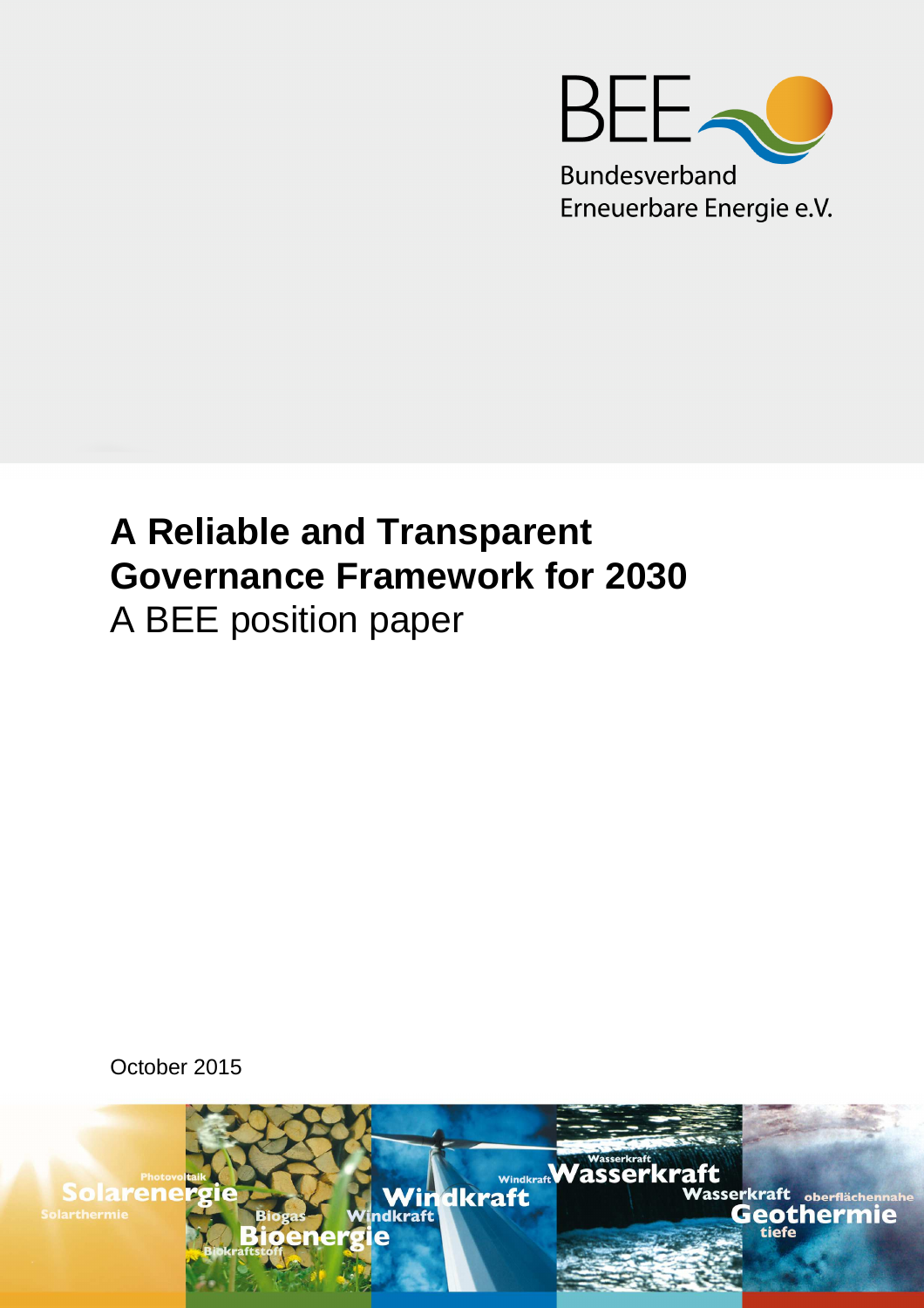

# **A Reliable and Transparent Governance Framework for 2030**  A BEE position paper

October 2015

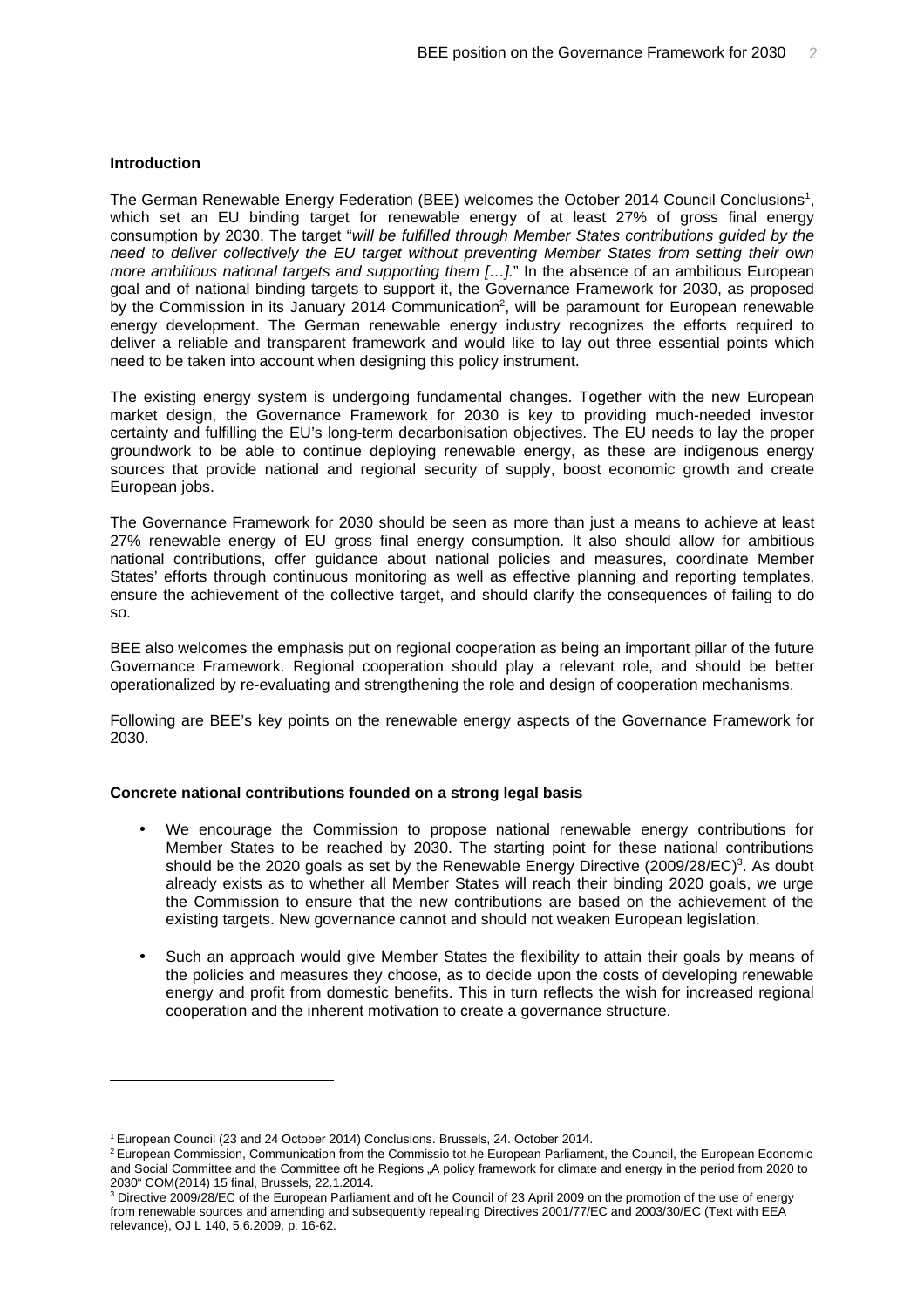## **Introduction**

 $\overline{a}$ 

The German Renewable Energy Federation (BEE) welcomes the October 2014 Council Conclusions<sup>1</sup>, which set an EU binding target for renewable energy of at least 27% of gross final energy consumption by 2030. The target "will be fulfilled through Member States contributions guided by the need to deliver collectively the EU target without preventing Member States from setting their own more ambitious national targets and supporting them [...]." In the absence of an ambitious European goal and of national binding targets to support it, the Governance Framework for 2030, as proposed by the Commission in its January 2014 Communication<sup>2</sup>, will be paramount for European renewable energy development. The German renewable energy industry recognizes the efforts required to deliver a reliable and transparent framework and would like to lay out three essential points which need to be taken into account when designing this policy instrument.

The existing energy system is undergoing fundamental changes. Together with the new European market design, the Governance Framework for 2030 is key to providing much-needed investor certainty and fulfilling the EU's long-term decarbonisation objectives. The EU needs to lay the proper groundwork to be able to continue deploying renewable energy, as these are indigenous energy sources that provide national and regional security of supply, boost economic growth and create European jobs.

The Governance Framework for 2030 should be seen as more than just a means to achieve at least 27% renewable energy of EU gross final energy consumption. It also should allow for ambitious national contributions, offer guidance about national policies and measures, coordinate Member States' efforts through continuous monitoring as well as effective planning and reporting templates, ensure the achievement of the collective target, and should clarify the consequences of failing to do so.

BEE also welcomes the emphasis put on regional cooperation as being an important pillar of the future Governance Framework. Regional cooperation should play a relevant role, and should be better operationalized by re-evaluating and strengthening the role and design of cooperation mechanisms.

Following are BEE's key points on the renewable energy aspects of the Governance Framework for 2030.

#### **Concrete national contributions founded on a strong legal basis**

- We encourage the Commission to propose national renewable energy contributions for Member States to be reached by 2030. The starting point for these national contributions should be the 2020 goals as set by the Renewable Energy Directive  $(2009/28/EC)^3$ . As doubt already exists as to whether all Member States will reach their binding 2020 goals, we urge the Commission to ensure that the new contributions are based on the achievement of the existing targets. New governance cannot and should not weaken European legislation.
- Such an approach would give Member States the flexibility to attain their goals by means of the policies and measures they choose, as to decide upon the costs of developing renewable energy and profit from domestic benefits. This in turn reflects the wish for increased regional cooperation and the inherent motivation to create a governance structure.

<sup>&</sup>lt;sup>1</sup> European Council (23 and 24 October 2014) Conclusions. Brussels, 24. October 2014.

<sup>&</sup>lt;sup>2</sup> European Commission, Communication from the Commissio tot he European Parliament, the Council, the European Economic and Social Committee and the Committee oft he Regions "A policy framework for climate and energy in the period from 2020 to 2030" COM(2014) 15 final, Brussels, 22.1.2014.

<sup>3</sup> Directive 2009/28/EC of the European Parliament and oft he Council of 23 April 2009 on the promotion of the use of energy from renewable sources and amending and subsequently repealing Directives 2001/77/EC and 2003/30/EC (Text with EEA relevance), OJ L 140, 5.6.2009, p. 16-62.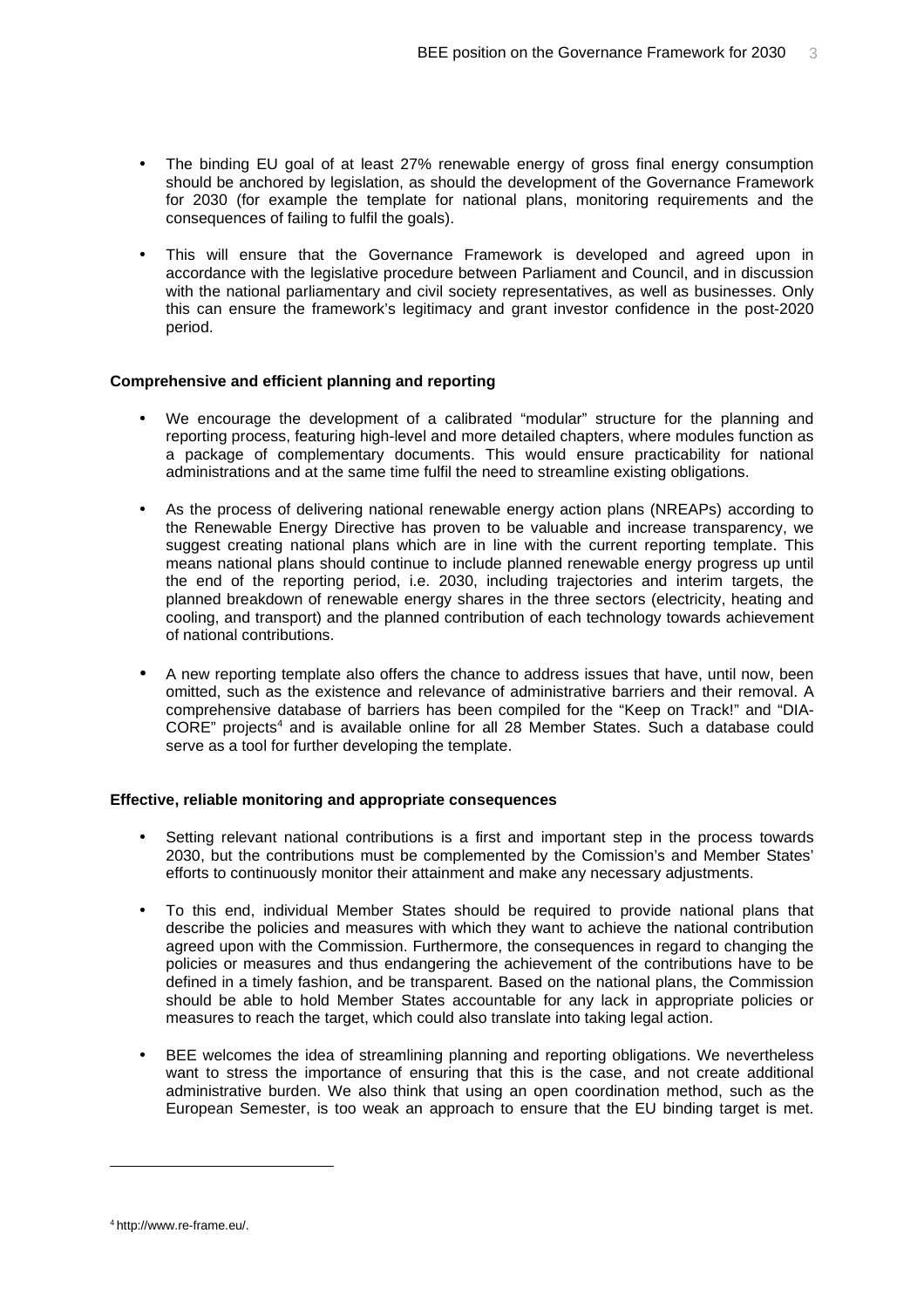- The binding EU goal of at least 27% renewable energy of gross final energy consumption should be anchored by legislation, as should the development of the Governance Framework for 2030 (for example the template for national plans, monitoring requirements and the consequences of failing to fulfil the goals).
- This will ensure that the Governance Framework is developed and agreed upon in accordance with the legislative procedure between Parliament and Council, and in discussion with the national parliamentary and civil society representatives, as well as businesses. Only this can ensure the framework's legitimacy and grant investor confidence in the post-2020 period.

#### **Comprehensive and efficient planning and reporting**

- We encourage the development of a calibrated "modular" structure for the planning and reporting process, featuring high-level and more detailed chapters, where modules function as a package of complementary documents. This would ensure practicability for national administrations and at the same time fulfil the need to streamline existing obligations.
- As the process of delivering national renewable energy action plans (NREAPs) according to the Renewable Energy Directive has proven to be valuable and increase transparency, we suggest creating national plans which are in line with the current reporting template. This means national plans should continue to include planned renewable energy progress up until the end of the reporting period, i.e. 2030, including trajectories and interim targets, the planned breakdown of renewable energy shares in the three sectors (electricity, heating and cooling, and transport) and the planned contribution of each technology towards achievement of national contributions.
- A new reporting template also offers the chance to address issues that have, until now, been omitted, such as the existence and relevance of administrative barriers and their removal. A comprehensive database of barriers has been compiled for the "Keep on Track!" and "DIA-CORE" projects<sup>4</sup> and is available online for all 28 Member States. Such a database could serve as a tool for further developing the template.

#### **Effective, reliable monitoring and appropriate consequences**

- Setting relevant national contributions is a first and important step in the process towards 2030, but the contributions must be complemented by the Comission's and Member States' efforts to continuously monitor their attainment and make any necessary adjustments.
- To this end, individual Member States should be required to provide national plans that describe the policies and measures with which they want to achieve the national contribution agreed upon with the Commission. Furthermore, the consequences in regard to changing the policies or measures and thus endangering the achievement of the contributions have to be defined in a timely fashion, and be transparent. Based on the national plans, the Commission should be able to hold Member States accountable for any lack in appropriate policies or measures to reach the target, which could also translate into taking legal action.
- BEE welcomes the idea of streamlining planning and reporting obligations. We nevertheless want to stress the importance of ensuring that this is the case, and not create additional administrative burden. We also think that using an open coordination method, such as the European Semester, is too weak an approach to ensure that the EU binding target is met.

 $\overline{a}$ 

<sup>4</sup> http://www.re-frame.eu/.